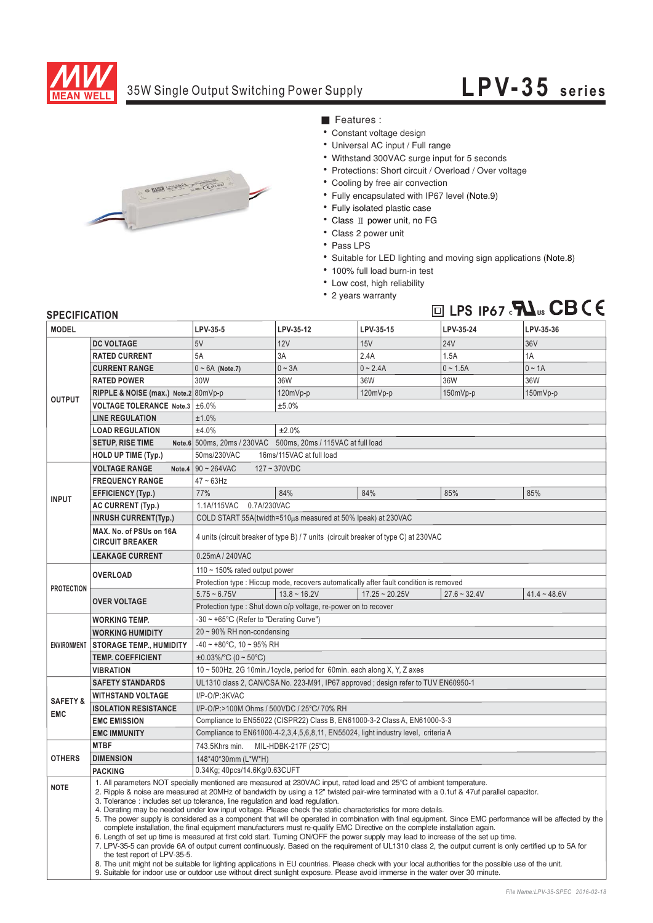

### 35W Single Output Switching Power Supply

# **LPV-35 series**



- Features :
- Constant voltage design
- Universal AC input / Full range
- Withstand 300VAC surge input for 5 seconds
- Protections: Short circuit / Overload / Over voltage
- Cooling by free air convection
- Fully encapsulated with IP67 level (Note.9)
- Fully isolated plastic case
- Class II power unit, no FG
- Class 2 power unit
- Pass LPS
- Suitable for LED lighting and moving sign applications (Note.8)
- 100% full load burn-in test
- Low cost, high reliability
- 2 years warranty



#### **SPECIFICATION**

| <b>MODEL</b>                      |                                                                                                                                                                                                                                                                                                                                                                                                                                                                                                                                                                                                                                                                                                                                                                                                                                                                                                                                                                                                                                                                                                                                                                                                                                                                                                                                                                                           | LPV-35-5                                                                               | LPV-35-12                                                     | LPV-35-15        | LPV-35-24      | LPV-35-36      |  |
|-----------------------------------|-------------------------------------------------------------------------------------------------------------------------------------------------------------------------------------------------------------------------------------------------------------------------------------------------------------------------------------------------------------------------------------------------------------------------------------------------------------------------------------------------------------------------------------------------------------------------------------------------------------------------------------------------------------------------------------------------------------------------------------------------------------------------------------------------------------------------------------------------------------------------------------------------------------------------------------------------------------------------------------------------------------------------------------------------------------------------------------------------------------------------------------------------------------------------------------------------------------------------------------------------------------------------------------------------------------------------------------------------------------------------------------------|----------------------------------------------------------------------------------------|---------------------------------------------------------------|------------------|----------------|----------------|--|
| <b>OUTPUT</b>                     | <b>DC VOLTAGE</b>                                                                                                                                                                                                                                                                                                                                                                                                                                                                                                                                                                                                                                                                                                                                                                                                                                                                                                                                                                                                                                                                                                                                                                                                                                                                                                                                                                         | 5V                                                                                     | 12V                                                           | 15V              | <b>24V</b>     | 36V            |  |
|                                   | <b>RATED CURRENT</b>                                                                                                                                                                                                                                                                                                                                                                                                                                                                                                                                                                                                                                                                                                                                                                                                                                                                                                                                                                                                                                                                                                                                                                                                                                                                                                                                                                      | 5A                                                                                     | 3A                                                            | 2.4A             | 1.5A           | 1A             |  |
|                                   | <b>CURRENT RANGE</b>                                                                                                                                                                                                                                                                                                                                                                                                                                                                                                                                                                                                                                                                                                                                                                                                                                                                                                                                                                                                                                                                                                                                                                                                                                                                                                                                                                      | $0 \sim 6A$ (Note.7)                                                                   | $0 - 3A$                                                      | $0 - 2.4A$       | $0 - 1.5A$     | $0 \sim 1A$    |  |
|                                   | <b>RATED POWER</b>                                                                                                                                                                                                                                                                                                                                                                                                                                                                                                                                                                                                                                                                                                                                                                                                                                                                                                                                                                                                                                                                                                                                                                                                                                                                                                                                                                        | 30W                                                                                    | 36W                                                           | 36W              | 36W            | 36W            |  |
|                                   | RIPPLE & NOISE (max.) Note.2 80mVp-p                                                                                                                                                                                                                                                                                                                                                                                                                                                                                                                                                                                                                                                                                                                                                                                                                                                                                                                                                                                                                                                                                                                                                                                                                                                                                                                                                      |                                                                                        | 120mVp-p                                                      | 120mVp-p         | 150mVp-p       | 150mVp-p       |  |
|                                   | VOLTAGE TOLERANCE Note.3 ±6.0%                                                                                                                                                                                                                                                                                                                                                                                                                                                                                                                                                                                                                                                                                                                                                                                                                                                                                                                                                                                                                                                                                                                                                                                                                                                                                                                                                            | ±5.0%                                                                                  |                                                               |                  |                |                |  |
|                                   | <b>LINE REGULATION</b>                                                                                                                                                                                                                                                                                                                                                                                                                                                                                                                                                                                                                                                                                                                                                                                                                                                                                                                                                                                                                                                                                                                                                                                                                                                                                                                                                                    | ±1.0%                                                                                  |                                                               |                  |                |                |  |
|                                   | <b>LOAD REGULATION</b>                                                                                                                                                                                                                                                                                                                                                                                                                                                                                                                                                                                                                                                                                                                                                                                                                                                                                                                                                                                                                                                                                                                                                                                                                                                                                                                                                                    | ±4.0%                                                                                  | ±2.0%                                                         |                  |                |                |  |
|                                   | <b>SETUP, RISE TIME</b>                                                                                                                                                                                                                                                                                                                                                                                                                                                                                                                                                                                                                                                                                                                                                                                                                                                                                                                                                                                                                                                                                                                                                                                                                                                                                                                                                                   |                                                                                        | Note.6 500ms, 20ms / 230VAC 500ms, 20ms / 115VAC at full load |                  |                |                |  |
|                                   | <b>HOLD UP TIME (Typ.)</b>                                                                                                                                                                                                                                                                                                                                                                                                                                                                                                                                                                                                                                                                                                                                                                                                                                                                                                                                                                                                                                                                                                                                                                                                                                                                                                                                                                | 50ms/230VAC<br>16ms/115VAC at full load                                                |                                                               |                  |                |                |  |
|                                   | <b>VOLTAGE RANGE</b>                                                                                                                                                                                                                                                                                                                                                                                                                                                                                                                                                                                                                                                                                                                                                                                                                                                                                                                                                                                                                                                                                                                                                                                                                                                                                                                                                                      | Note.4 $90 - 264$ VAC<br>$127 - 370VDC$                                                |                                                               |                  |                |                |  |
| <b>INPUT</b>                      | <b>FREQUENCY RANGE</b>                                                                                                                                                                                                                                                                                                                                                                                                                                                                                                                                                                                                                                                                                                                                                                                                                                                                                                                                                                                                                                                                                                                                                                                                                                                                                                                                                                    | $47 \sim 63$ Hz                                                                        |                                                               |                  |                |                |  |
|                                   | <b>EFFICIENCY (Typ.)</b>                                                                                                                                                                                                                                                                                                                                                                                                                                                                                                                                                                                                                                                                                                                                                                                                                                                                                                                                                                                                                                                                                                                                                                                                                                                                                                                                                                  | 77%                                                                                    | 84%                                                           | 84%              | 85%            | 85%            |  |
|                                   | AC CURRENT (Typ.)                                                                                                                                                                                                                                                                                                                                                                                                                                                                                                                                                                                                                                                                                                                                                                                                                                                                                                                                                                                                                                                                                                                                                                                                                                                                                                                                                                         | 1.1A/115VAC<br>0.7A/230VAC                                                             |                                                               |                  |                |                |  |
|                                   | <b>INRUSH CURRENT(Typ.)</b>                                                                                                                                                                                                                                                                                                                                                                                                                                                                                                                                                                                                                                                                                                                                                                                                                                                                                                                                                                                                                                                                                                                                                                                                                                                                                                                                                               | COLD START 55A(twidth=510us measured at 50% Ipeak) at 230VAC                           |                                                               |                  |                |                |  |
|                                   | MAX. No. of PSUs on 16A<br><b>CIRCUIT BREAKER</b>                                                                                                                                                                                                                                                                                                                                                                                                                                                                                                                                                                                                                                                                                                                                                                                                                                                                                                                                                                                                                                                                                                                                                                                                                                                                                                                                         | 4 units (circuit breaker of type B) / 7 units (circuit breaker of type C) at 230VAC    |                                                               |                  |                |                |  |
|                                   | <b>LEAKAGE CURRENT</b>                                                                                                                                                                                                                                                                                                                                                                                                                                                                                                                                                                                                                                                                                                                                                                                                                                                                                                                                                                                                                                                                                                                                                                                                                                                                                                                                                                    | 0.25mA / 240VAC                                                                        |                                                               |                  |                |                |  |
| <b>PROTECTION</b>                 | <b>OVERLOAD</b>                                                                                                                                                                                                                                                                                                                                                                                                                                                                                                                                                                                                                                                                                                                                                                                                                                                                                                                                                                                                                                                                                                                                                                                                                                                                                                                                                                           | 110 $\sim$ 150% rated output power                                                     |                                                               |                  |                |                |  |
|                                   |                                                                                                                                                                                                                                                                                                                                                                                                                                                                                                                                                                                                                                                                                                                                                                                                                                                                                                                                                                                                                                                                                                                                                                                                                                                                                                                                                                                           | Protection type : Hiccup mode, recovers automatically after fault condition is removed |                                                               |                  |                |                |  |
|                                   | <b>OVER VOLTAGE</b>                                                                                                                                                                                                                                                                                                                                                                                                                                                                                                                                                                                                                                                                                                                                                                                                                                                                                                                                                                                                                                                                                                                                                                                                                                                                                                                                                                       | $5.75 - 6.75V$                                                                         | $13.8 - 16.2V$                                                | $17.25 - 20.25V$ | $27.6 - 32.4V$ | $41.4 - 48.6V$ |  |
|                                   |                                                                                                                                                                                                                                                                                                                                                                                                                                                                                                                                                                                                                                                                                                                                                                                                                                                                                                                                                                                                                                                                                                                                                                                                                                                                                                                                                                                           | Protection type: Shut down o/p voltage, re-power on to recover                         |                                                               |                  |                |                |  |
| <b>ENVIRONMENT</b>                | <b>WORKING TEMP.</b>                                                                                                                                                                                                                                                                                                                                                                                                                                                                                                                                                                                                                                                                                                                                                                                                                                                                                                                                                                                                                                                                                                                                                                                                                                                                                                                                                                      | -30 ~ +65°C (Refer to "Derating Curve")                                                |                                                               |                  |                |                |  |
|                                   | <b>WORKING HUMIDITY</b>                                                                                                                                                                                                                                                                                                                                                                                                                                                                                                                                                                                                                                                                                                                                                                                                                                                                                                                                                                                                                                                                                                                                                                                                                                                                                                                                                                   | 20 ~ 90% RH non-condensing                                                             |                                                               |                  |                |                |  |
|                                   | <b>STORAGE TEMP., HUMIDITY</b>                                                                                                                                                                                                                                                                                                                                                                                                                                                                                                                                                                                                                                                                                                                                                                                                                                                                                                                                                                                                                                                                                                                                                                                                                                                                                                                                                            | $-40 \sim +80^{\circ}$ C, 10 ~ 95% RH                                                  |                                                               |                  |                |                |  |
|                                   | <b>TEMP. COEFFICIENT</b>                                                                                                                                                                                                                                                                                                                                                                                                                                                                                                                                                                                                                                                                                                                                                                                                                                                                                                                                                                                                                                                                                                                                                                                                                                                                                                                                                                  | $\pm 0.03\%$ /°C (0 ~ 50°C)                                                            |                                                               |                  |                |                |  |
|                                   | <b>VIBRATION</b>                                                                                                                                                                                                                                                                                                                                                                                                                                                                                                                                                                                                                                                                                                                                                                                                                                                                                                                                                                                                                                                                                                                                                                                                                                                                                                                                                                          | 10 ~ 500Hz, 2G 10min./1cycle, period for 60min. each along X, Y, Z axes                |                                                               |                  |                |                |  |
| <b>SAFETY &amp;</b><br><b>EMC</b> | <b>SAFETY STANDARDS</b>                                                                                                                                                                                                                                                                                                                                                                                                                                                                                                                                                                                                                                                                                                                                                                                                                                                                                                                                                                                                                                                                                                                                                                                                                                                                                                                                                                   | UL1310 class 2, CAN/CSA No. 223-M91, IP67 approved; design refer to TUV EN60950-1      |                                                               |                  |                |                |  |
|                                   | <b>WITHSTAND VOLTAGE</b>                                                                                                                                                                                                                                                                                                                                                                                                                                                                                                                                                                                                                                                                                                                                                                                                                                                                                                                                                                                                                                                                                                                                                                                                                                                                                                                                                                  | I/P-O/P:3KVAC                                                                          |                                                               |                  |                |                |  |
|                                   | <b>ISOLATION RESISTANCE</b>                                                                                                                                                                                                                                                                                                                                                                                                                                                                                                                                                                                                                                                                                                                                                                                                                                                                                                                                                                                                                                                                                                                                                                                                                                                                                                                                                               | I/P-O/P:>100M Ohms / 500VDC / 25°C/ 70% RH                                             |                                                               |                  |                |                |  |
|                                   | <b>EMC EMISSION</b>                                                                                                                                                                                                                                                                                                                                                                                                                                                                                                                                                                                                                                                                                                                                                                                                                                                                                                                                                                                                                                                                                                                                                                                                                                                                                                                                                                       | Compliance to EN55022 (CISPR22) Class B, EN61000-3-2 Class A, EN61000-3-3              |                                                               |                  |                |                |  |
|                                   | <b>EMC IMMUNITY</b>                                                                                                                                                                                                                                                                                                                                                                                                                                                                                                                                                                                                                                                                                                                                                                                                                                                                                                                                                                                                                                                                                                                                                                                                                                                                                                                                                                       | Compliance to EN61000-4-2,3,4,5,6,8,11, EN55024, light industry level, criteria A      |                                                               |                  |                |                |  |
| <b>OTHERS</b>                     | <b>MTBF</b>                                                                                                                                                                                                                                                                                                                                                                                                                                                                                                                                                                                                                                                                                                                                                                                                                                                                                                                                                                                                                                                                                                                                                                                                                                                                                                                                                                               | 743.5Khrs min.<br>MIL-HDBK-217F (25°C)                                                 |                                                               |                  |                |                |  |
|                                   | <b>DIMENSION</b>                                                                                                                                                                                                                                                                                                                                                                                                                                                                                                                                                                                                                                                                                                                                                                                                                                                                                                                                                                                                                                                                                                                                                                                                                                                                                                                                                                          | 148*40*30mm (L*W*H)                                                                    |                                                               |                  |                |                |  |
|                                   | <b>PACKING</b>                                                                                                                                                                                                                                                                                                                                                                                                                                                                                                                                                                                                                                                                                                                                                                                                                                                                                                                                                                                                                                                                                                                                                                                                                                                                                                                                                                            | 0.34Kg; 40pcs/14.6Kg/0.63CUFT                                                          |                                                               |                  |                |                |  |
| <b>NOTE</b>                       | 1. All parameters NOT specially mentioned are measured at 230VAC input, rated load and 25°C of ambient temperature.<br>2. Ripple & noise are measured at 20MHz of bandwidth by using a 12" twisted pair-wire terminated with a 0.1uf & 47uf parallel capacitor.<br>3. Tolerance: includes set up tolerance, line regulation and load regulation.<br>4. Derating may be needed under low input voltage. Please check the static characteristics for more details.<br>5. The power supply is considered as a component that will be operated in combination with final equipment. Since EMC performance will be affected by the<br>complete installation, the final equipment manufacturers must re-qualify EMC Directive on the complete installation again.<br>6. Length of set up time is measured at first cold start. Turning ON/OFF the power supply may lead to increase of the set up time.<br>7. LPV-35-5 can provide 6A of output current continuously. Based on the requirement of UL1310 class 2, the output current is only certified up to 5A for<br>the test report of LPV-35-5.<br>8. The unit might not be suitable for lighting applications in EU countries. Please check with your local authorities for the possible use of the unit.<br>9. Suitable for indoor use or outdoor use without direct sunlight exposure. Please avoid immerse in the water over 30 minute. |                                                                                        |                                                               |                  |                |                |  |